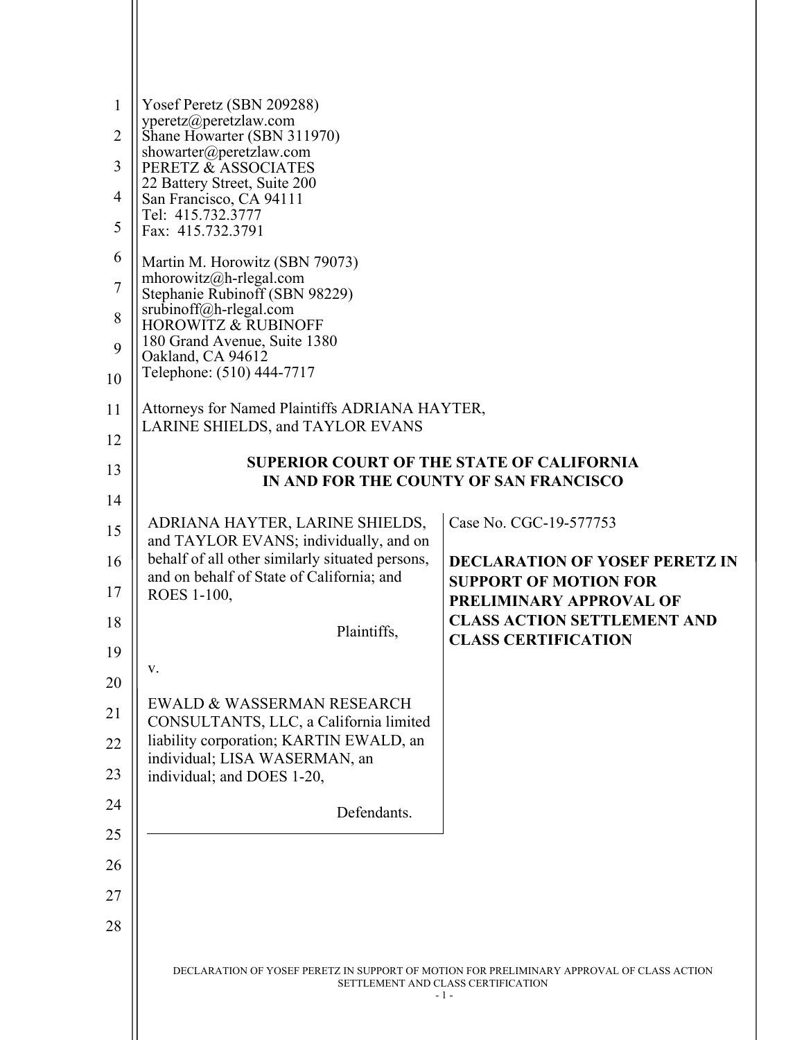| $\mathbf{1}$<br>2 | Yosef Peretz (SBN 209288)<br>yperetz@peretzlaw.com<br>Shane Howarter (SBN 311970)            |                                                                       |
|-------------------|----------------------------------------------------------------------------------------------|-----------------------------------------------------------------------|
| 3                 | showarter@peretzlaw.com<br>PERETZ & ASSOCIATES                                               |                                                                       |
| 4                 | 22 Battery Street, Suite 200<br>San Francisco, CA 94111                                      |                                                                       |
| 5                 | Tel: 415.732.3777<br>Fax: 415.732.3791                                                       |                                                                       |
| 6                 | Martin M. Horowitz (SBN 79073)                                                               |                                                                       |
| $\tau$            | mhorowitz@h-rlegal.com<br>Stephanie Rubinoff (SBN 98229)                                     |                                                                       |
| 8                 | srubinoff@h-rlegal.com<br><b>HOROWITZ &amp; RUBINOFF</b>                                     |                                                                       |
| 9                 | 180 Grand Avenue, Suite 1380<br>Oakland, CA 94612                                            |                                                                       |
| 10                | Telephone: (510) 444-7717                                                                    |                                                                       |
| 11                | Attorneys for Named Plaintiffs ADRIANA HAYTER,<br><b>LARINE SHIELDS, and TAYLOR EVANS</b>    |                                                                       |
| 12                | <b>SUPERIOR COURT OF THE STATE OF CALIFORNIA</b>                                             |                                                                       |
| 13                | IN AND FOR THE COUNTY OF SAN FRANCISCO                                                       |                                                                       |
| 14                |                                                                                              |                                                                       |
| 15                | ADRIANA HAYTER, LARINE SHIELDS,<br>and TAYLOR EVANS; individually, and on                    | Case No. CGC-19-577753                                                |
| 16                | behalf of all other similarly situated persons,<br>and on behalf of State of California; and | <b>DECLARATION OF YOSEF PERETZ IN</b><br><b>SUPPORT OF MOTION FOR</b> |
| 17                | ROES 1-100,                                                                                  | PRELIMINARY APPROVAL OF                                               |
| 18                | Plaintiffs,                                                                                  | <b>CLASS ACTION SETTLEMENT AND</b><br><b>CLASS CERTIFICATION</b>      |
| 19                | v.                                                                                           |                                                                       |
| 20                | EWALD & WASSERMAN RESEARCH                                                                   |                                                                       |
| 21                | CONSULTANTS, LLC, a California limited<br>liability corporation; KARTIN EWALD, an            |                                                                       |
| 22                | individual; LISA WASERMAN, an                                                                |                                                                       |
| 23                | individual; and DOES 1-20,                                                                   |                                                                       |
| 24<br>25          | Defendants.                                                                                  |                                                                       |
| 26                |                                                                                              |                                                                       |
| 27                |                                                                                              |                                                                       |
|                   |                                                                                              |                                                                       |
| 28                |                                                                                              |                                                                       |
|                   |                                                                                              |                                                                       |

 $\parallel$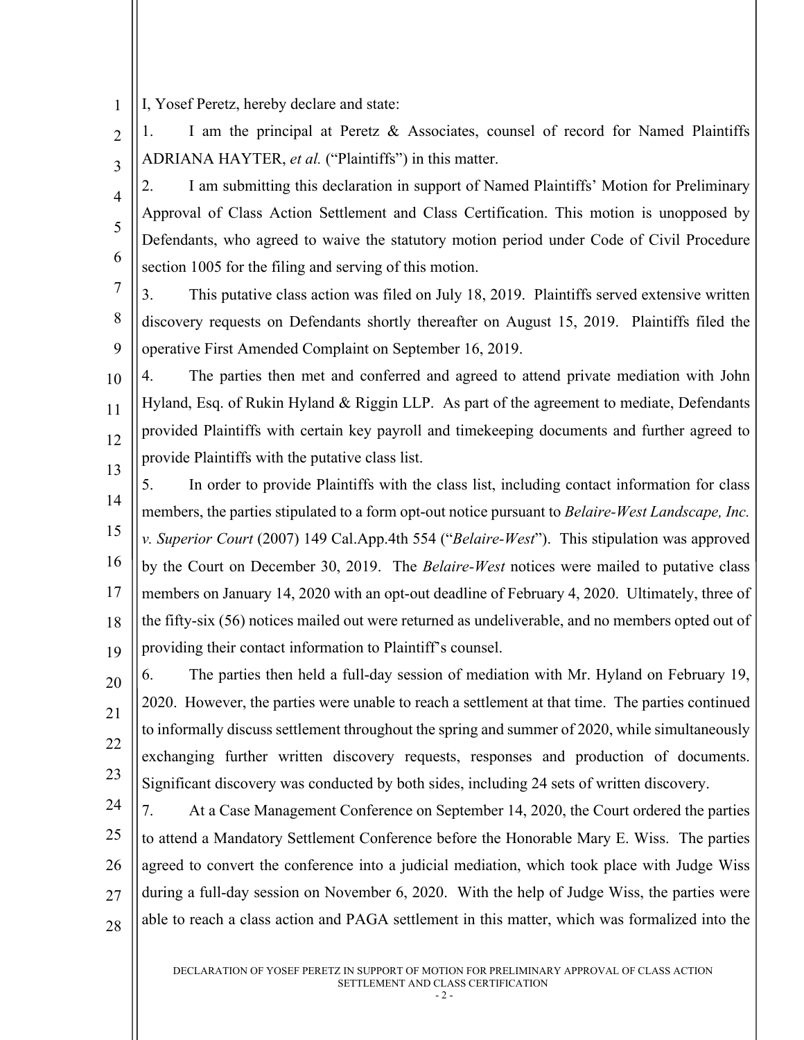1 I, Yosef Peretz, hereby declare and state:

 $\overline{2}$ 3 1. I am the principal at Peretz & Associates, counsel of record for Named Plaintiffs ADRIANA HAYTER, *et al.* ("Plaintiffs") in this matter.

4 5 6 2. I am submitting this declaration in support of Named Plaintiffs' Motion for Preliminary Approval of Class Action Settlement and Class Certification. This motion is unopposed by Defendants, who agreed to waive the statutory motion period under Code of Civil Procedure section 1005 for the filing and serving of this motion.

7 8 9 3. This putative class action was filed on July 18, 2019. Plaintiffs served extensive written discovery requests on Defendants shortly thereafter on August 15, 2019. Plaintiffs filed the operative First Amended Complaint on September 16, 2019.

10 11 12 13 4. The parties then met and conferred and agreed to attend private mediation with John Hyland, Esq. of Rukin Hyland & Riggin LLP. As part of the agreement to mediate, Defendants provided Plaintiffs with certain key payroll and timekeeping documents and further agreed to provide Plaintiffs with the putative class list.

14 15 16 17 18 19 5. In order to provide Plaintiffs with the class list, including contact information for class members, the parties stipulated to a form opt-out notice pursuant to *Belaire-West Landscape, Inc. v. Superior Court* (2007) 149 Cal.App.4th 554 ("*Belaire-West*"). This stipulation was approved by the Court on December 30, 2019. The *Belaire-West* notices were mailed to putative class members on January 14, 2020 with an opt-out deadline of February 4, 2020. Ultimately, three of the fifty-six (56) notices mailed out were returned as undeliverable, and no members opted out of providing their contact information to Plaintiff's counsel.

20 21 22 23 6. The parties then held a full-day session of mediation with Mr. Hyland on February 19, 2020. However, the parties were unable to reach a settlement at that time. The parties continued to informally discuss settlement throughout the spring and summer of 2020, while simultaneously exchanging further written discovery requests, responses and production of documents. Significant discovery was conducted by both sides, including 24 sets of written discovery.

24 25 26 27 28 7. At a Case Management Conference on September 14, 2020, the Court ordered the parties to attend a Mandatory Settlement Conference before the Honorable Mary E. Wiss. The parties agreed to convert the conference into a judicial mediation, which took place with Judge Wiss during a full-day session on November 6, 2020. With the help of Judge Wiss, the parties were able to reach a class action and PAGA settlement in this matter, which was formalized into the

> DECLARATION OF YOSEF PERETZ IN SUPPORT OF MOTION FOR PRELIMINARY APPROVAL OF CLASS ACTION SETTLEMENT AND CLASS CERTIFICATION

 $-2 -$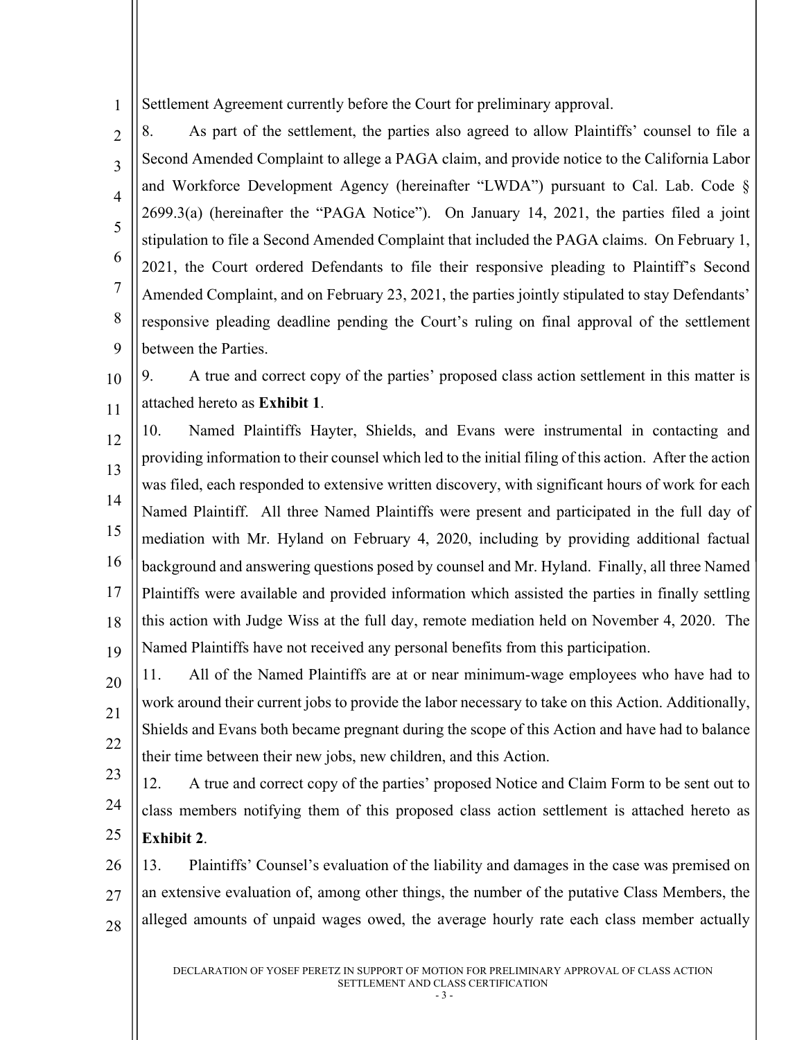1 Settlement Agreement currently before the Court for preliminary approval.

 $\mathfrak{D}$ 3 4 5 6 7 8 9 8. As part of the settlement, the parties also agreed to allow Plaintiffs' counsel to file a Second Amended Complaint to allege a PAGA claim, and provide notice to the California Labor and Workforce Development Agency (hereinafter "LWDA") pursuant to Cal. Lab. Code § 2699.3(a) (hereinafter the "PAGA Notice"). On January 14, 2021, the parties filed a joint stipulation to file a Second Amended Complaint that included the PAGA claims. On February 1, 2021, the Court ordered Defendants to file their responsive pleading to Plaintiff's Second Amended Complaint, and on February 23, 2021, the parties jointly stipulated to stay Defendants' responsive pleading deadline pending the Court's ruling on final approval of the settlement between the Parties.

10 11 9. A true and correct copy of the parties' proposed class action settlement in this matter is attached hereto as **Exhibit 1**.

12 13 14 15 16 17 18 19 10. Named Plaintiffs Hayter, Shields, and Evans were instrumental in contacting and providing information to their counsel which led to the initial filing of this action. After the action was filed, each responded to extensive written discovery, with significant hours of work for each Named Plaintiff. All three Named Plaintiffs were present and participated in the full day of mediation with Mr. Hyland on February 4, 2020, including by providing additional factual background and answering questions posed by counsel and Mr. Hyland. Finally, all three Named Plaintiffs were available and provided information which assisted the parties in finally settling this action with Judge Wiss at the full day, remote mediation held on November 4, 2020. The Named Plaintiffs have not received any personal benefits from this participation.

20 21 22 11. All of the Named Plaintiffs are at or near minimum-wage employees who have had to work around their current jobs to provide the labor necessary to take on this Action. Additionally, Shields and Evans both became pregnant during the scope of this Action and have had to balance their time between their new jobs, new children, and this Action.

23 24 25 12. A true and correct copy of the parties' proposed Notice and Claim Form to be sent out to class members notifying them of this proposed class action settlement is attached hereto as **Exhibit 2**.

26 27 28 13. Plaintiffs' Counsel's evaluation of the liability and damages in the case was premised on an extensive evaluation of, among other things, the number of the putative Class Members, the alleged amounts of unpaid wages owed, the average hourly rate each class member actually